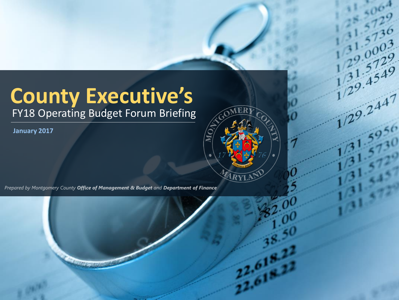# **County Executive's**

 $\frac{1}{2}$   $\frac{31}{4}$   $\frac{57}{4}$   $\frac{5}{4}$   $\frac{9}{4}$ 

 $\frac{12}{129.2447}$ 

 $22.61$ 

FY18 Operating Budget Forum Briefing

**January 2017**

Prepared by Montgomery County Office of Management & Budget and Department of Finance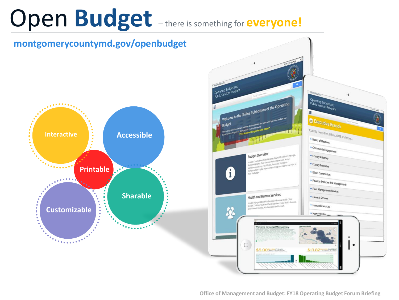# Open **Budget** – there is something for **everyone!**

**montgomerycountymd.gov/openbudget**



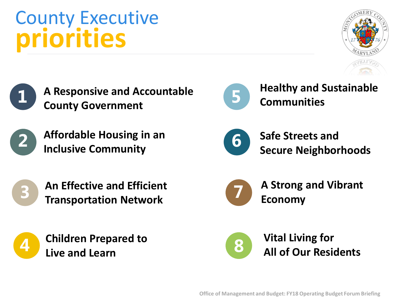# **County Government Affordable Housing in an**



County Executive

**priorities**



**4**

**2**

**1**

**An Effective and Efficient Transportation Network** 

**A Responsive and Accountable**





**Healthy and Sustainable Communities**



**Safe Streets and Secure Neighborhoods**



**A Strong and Vibrant Economy** 



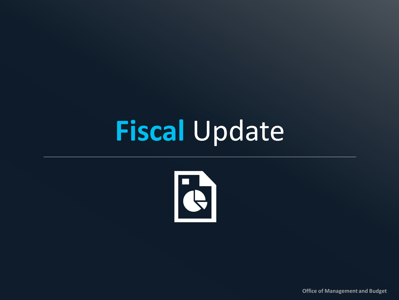# **Fiscal** Update



**Office of Management and Budget**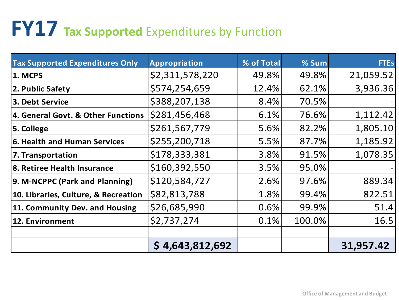# **FY17 Tax Supported** Expenditures by Function

| <b>Tax Supported Expenditures Only</b> | <b>Appropriation</b> | % of Total | % Sum  | <b>FTEs</b> |
|----------------------------------------|----------------------|------------|--------|-------------|
| 1. MCPS                                | \$2,311,578,220      | 49.8%      | 49.8%  | 21,059.52   |
| 2. Public Safety                       | \$574,254,659        | 12.4%      | 62.1%  | 3,936.36    |
| 3. Debt Service                        | \$388,207,138        | 8.4%       | 70.5%  |             |
| 4. General Govt. & Other Functions     | \$281,456,468        | 6.1%       | 76.6%  | 1,112.42    |
| 5. College                             | \$261,567,779        | 5.6%       | 82.2%  | 1,805.10    |
| 6. Health and Human Services           | \$255,200,718        | 5.5%       | 87.7%  | 1,185.92    |
| 7. Transportation                      | \$178,333,381        | 3.8%       | 91.5%  | 1,078.35    |
| 8. Retiree Health Insurance            | \$160,392,550        | 3.5%       | 95.0%  |             |
| 9. M-NCPPC (Park and Planning)         | \$120,584,727        | 2.6%       | 97.6%  | 889.34      |
| 10. Libraries, Culture, & Recreation   | \$82,813,788         | 1.8%       | 99.4%  | 822.51      |
| 11. Community Dev. and Housing         | \$26,685,990         | 0.6%       | 99.9%  | 51.4        |
| 12. Environment                        | \$2,737,274          | 0.1%       | 100.0% | 16.5        |
|                                        |                      |            |        |             |
|                                        | \$4,643,812,692      |            |        | 31,957.42   |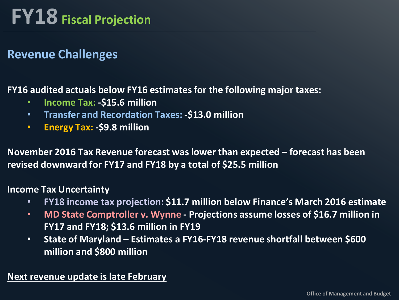# **FY18 Fiscal Projection**

#### **Revenue Challenges**

#### **FY16 audited actuals below FY16 estimates for the following major taxes:**

- **Income Tax: -\$15.6 million**
- **Transfer and Recordation Taxes: -\$13.0 million**
- **Energy Tax: -\$9.8 million**

**November 2016 Tax Revenue forecast was lower than expected – forecast has been revised downward for FY17 and FY18 by a total of \$25.5 million**

#### **Income Tax Uncertainty**

- **FY18 income tax projection: \$11.7 million below Finance's March 2016 estimate**
- **MD State Comptroller v. Wynne - Projections assume losses of \$16.7 million in FY17 and FY18; \$13.6 million in FY19**
- **State of Maryland – Estimates a FY16-FY18 revenue shortfall between \$600 million and \$800 million**

**Next revenue update is late February**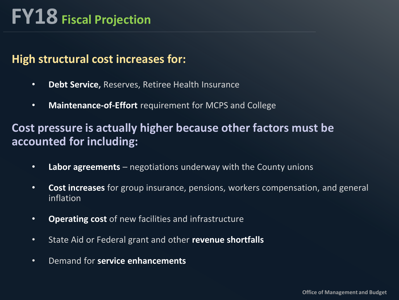# **FY18 Fiscal Projection**

#### **High structural cost increases for:**

- **Debt Service,** Reserves, Retiree Health Insurance
- **Maintenance-of-Effort** requirement for MCPS and College

#### **Cost pressure is actually higher because other factors must be accounted for including:**

- **Labor agreements**  negotiations underway with the County unions
- **Cost increases** for group insurance, pensions, workers compensation, and general inflation
- **Operating cost** of new facilities and infrastructure
- State Aid or Federal grant and other **revenue shortfalls**
- Demand for **service enhancements**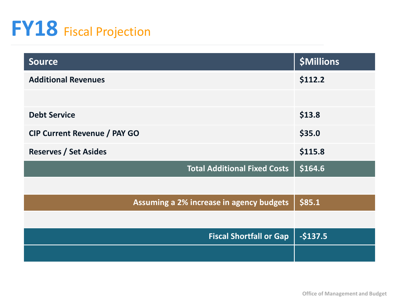# **FY18** Fiscal Projection

| <b>Source</b>                            | <b>\$Millions</b> |
|------------------------------------------|-------------------|
| <b>Additional Revenues</b>               | \$112.2           |
|                                          |                   |
| <b>Debt Service</b>                      | \$13.8            |
| <b>CIP Current Revenue / PAY GO</b>      | \$35.0            |
| <b>Reserves / Set Asides</b>             | \$115.8           |
| <b>Total Additional Fixed Costs</b>      | \$164.6           |
|                                          |                   |
| Assuming a 2% increase in agency budgets | \$85.1            |
|                                          |                   |
| <b>Fiscal Shortfall or Gap</b>           | $-$137.5$         |
|                                          |                   |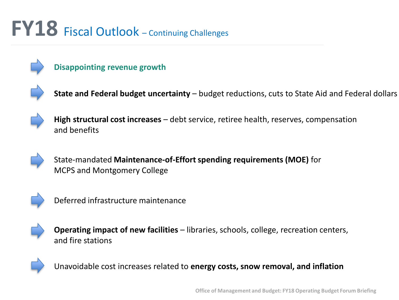# **FY18** Fiscal Outlook – Continuing Challenges



**Disappointing revenue growth**



State and Federal budget uncertainty - budget reductions, cuts to State Aid and Federal dollars



**High structural cost increases** – debt service, retiree health, reserves, compensation and benefits



State-mandated **Maintenance-of-Effort spending requirements (MOE)** for MCPS and Montgomery College



Deferred infrastructure maintenance



**Operating impact of new facilities** – libraries, schools, college, recreation centers, and fire stations



Unavoidable cost increases related to **energy costs, snow removal, and inflation**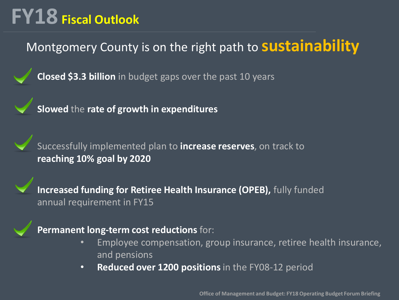# **FY18 Fiscal Outlook**

### Montgomery County is on the right path to **sustainability**

**Closed \$3.3 billion** in budget gaps over the past 10 years



**Slowed** the **rate of growth in expenditures**



Successfully implemented plan to **increase reserves**, on track to **reaching 10% goal by 2020**

**Increased funding for Retiree Health Insurance (OPEB),** fully funded annual requirement in FY15

#### **Permanent long-term cost reductions** for:

- Employee compensation, group insurance, retiree health insurance, and pensions
- **Reduced over 1200 positions** in the FY08-12 period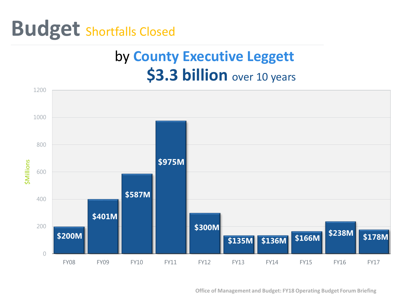

### **\$3.3 billion** over 10 years by **County Executive Leggett**



**Office of Management and Budget: FY18 Operating Budget Forum Briefing**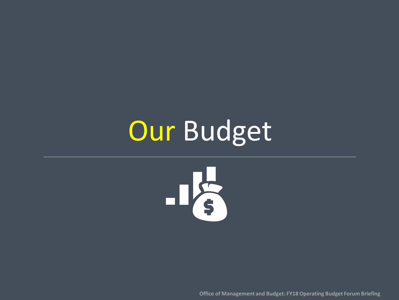# **Our Budget**



**Office of Management and Budget: FY18 Operating Budget Forum Briefing**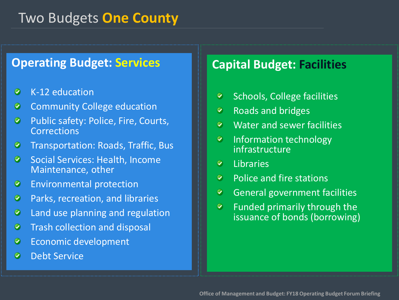#### Two Budgets **One County**

#### **Operating Budget: Services Capital Budget: Facilities**

- $\bullet$ K-12 education
- Community College education ◉
- $\bullet$ Public safety: Police, Fire, Courts, **Corrections**
- Transportation: Roads, Traffic, Bus ◉
- Social Services: Health, Income ◉ Maintenance, other
- ◉ Environmental protection
- Parks, recreation, and libraries ◉
- Land use planning and regulation Ø
- $\bullet$ Trash collection and disposal
- Economic development ◉
- $\bullet$ Debt Service

- Schools, College facilities  $\bullet$
- $\bullet$ Roads and bridges
- $\bullet$ Water and sewer facilities
- $\bullet$ Information technology infrastructure
- $\bullet$ Libraries
- Police and fire stations  $\bullet$
- $\bullet$ General government facilities
- $\bullet$ Funded primarily through the issuance of bonds (borrowing)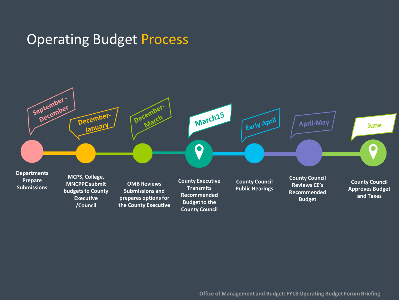#### Operating Budget Process

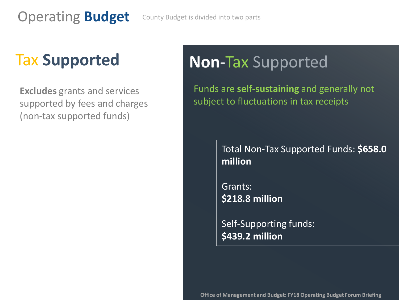## Tax **Supported**

**Excludes** grants and services supported by fees and charges (non-tax supported funds)

### **Non**-Tax Supported

Funds are **self-sustaining** and generally not subject to fluctuations in tax receipts

> Total Non-Tax Supported Funds: **\$658.0 million**

Grants: **\$218.8 million** 

Self-Supporting funds: **\$439.2 million**

**Office of Management and Budget: FY18 Operating Budget Forum Briefing**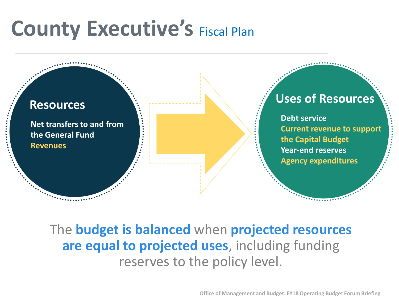# **County Executive's Fiscal Plan**



#### The **budget is balanced** when **projected resources are equal to projected uses**, including funding reserves to the policy level.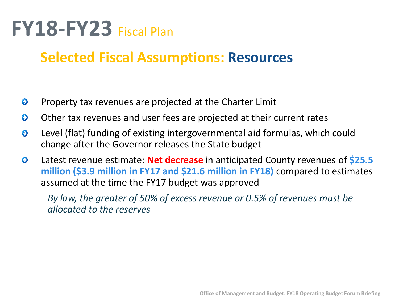# **FY18-FY23** Fiscal Plan

#### **Selected Fiscal Assumptions: Resources**

- ⊖ Property tax revenues are projected at the Charter Limit
- ⊖ Other tax revenues and user fees are projected at their current rates
- ⊖ Level (flat) funding of existing intergovernmental aid formulas, which could change after the Governor releases the State budget
- Latest revenue estimate: **Net decrease** in anticipated County revenues of **\$25.5**  ⊖ **million (\$3.9 million in FY17 and \$21.6 million in FY18)** compared to estimates assumed at the time the FY17 budget was approved

*By law, the greater of 50% of excess revenue or 0.5% of revenues must be allocated to the reserves*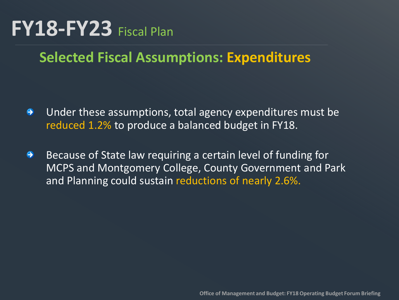# **FY18-FY23** Fiscal Plan

### **Selected Fiscal Assumptions: Expenditures**

- Under these assumptions, total agency expenditures must be  $\bullet$ reduced 1.2% to produce a balanced budget in FY18.
- $\bullet$ Because of State law requiring a certain level of funding for MCPS and Montgomery College, County Government and Park and Planning could sustain reductions of nearly 2.6%.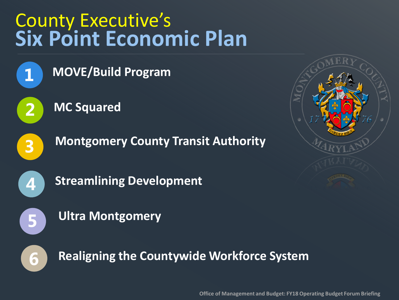# County Executive's **Six Point Economic Plan**



**MOVE/Build Program**



**MC Squared**



**Montgomery County Transit Authority**



**Streamlining Development**



**Ultra Montgomery**



**Realigning the Countywide Workforce System**



**Office of Management and Budget: FY18 Operating Budget Forum Briefing**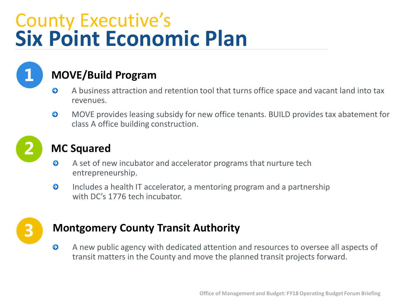# County Executive's **Six Point Economic Plan**



#### **MOVE/Build Program**

- $\bullet$ A business attraction and retention tool that turns office space and vacant land into tax revenues.
- $\bullet$ MOVE provides leasing subsidy for new office tenants. BUILD provides tax abatement for class A office building construction.



#### **MC Squared**

- $\bullet$ A set of new incubator and accelerator programs that nurture tech entrepreneurship.
- Includes a health IT accelerator, a mentoring program and a partnership  $\bullet$ with DC's 1776 tech incubator.



#### **Montgomery County Transit Authority**

 $\bullet$ A new public agency with dedicated attention and resources to oversee all aspects of transit matters in the County and move the planned transit projects forward.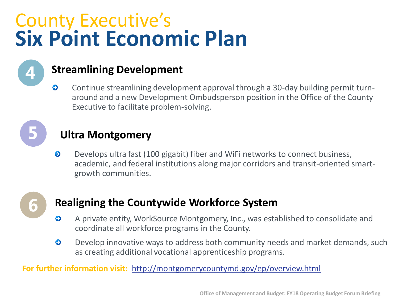# County Executive's **Six Point Economic Plan**



#### **Streamlining Development**

 $\bullet$ Continue streamlining development approval through a 30-day building permit turnaround and a new Development Ombudsperson position in the Office of the County Executive to facilitate problem-solving.



#### **Ultra Montgomery**

Develops ultra fast (100 gigabit) fiber and WiFi networks to connect business,  $\bullet$ academic, and federal institutions along major corridors and transit-oriented smartgrowth communities.



#### **Realigning the Countywide Workforce System**

- $\bullet$ A private entity, WorkSource Montgomery, Inc., was established to consolidate and coordinate all workforce programs in the County.
- $\bullet$ Develop innovative ways to address both community needs and market demands, such as creating additional vocational apprenticeship programs.

**For further information visit:** <http://montgomerycountymd.gov/ep/overview.html>